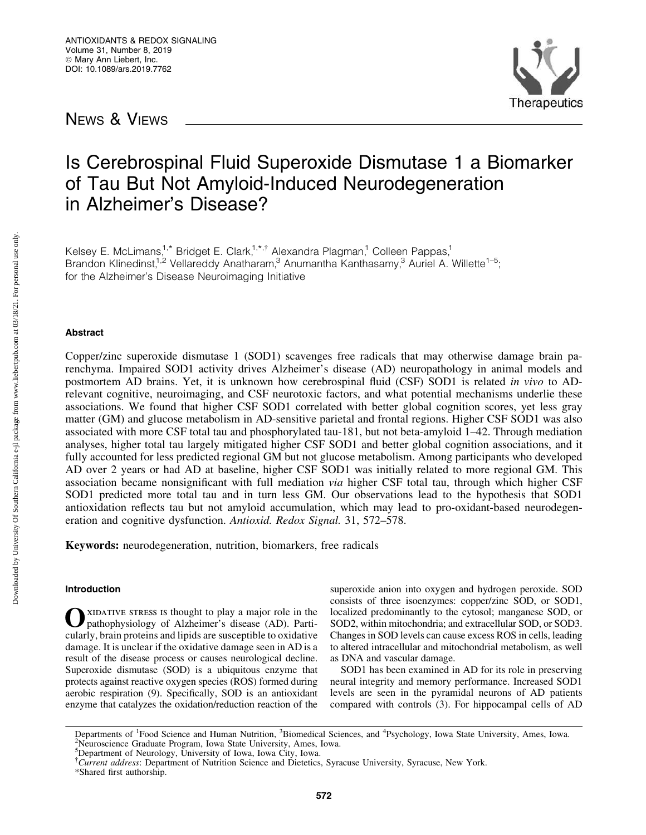NEWS & VIEWS



# Is Cerebrospinal Fluid Superoxide Dismutase 1 a Biomarker of Tau But Not Amyloid-Induced Neurodegeneration in Alzheimer's Disease?

Kelsey E. McLimans,<sup>1,\*</sup> Bridget E. Clark,<sup>1,\*,†</sup> Alexandra Plagman,<sup>1</sup> Colleen Pappas,<sup>1</sup> Brandon Klinedinst,<sup>1,2</sup> Vellareddy Anatharam,<sup>3</sup> Anumantha Kanthasamy,<sup>3</sup> Auriel A. Willette<sup>1-5</sup>; for the Alzheimer's Disease Neuroimaging Initiative

## Abstract

Copper/zinc superoxide dismutase 1 (SOD1) scavenges free radicals that may otherwise damage brain parenchyma. Impaired SOD1 activity drives Alzheimer's disease (AD) neuropathology in animal models and postmortem AD brains. Yet, it is unknown how cerebrospinal fluid (CSF) SOD1 is related *in vivo* to ADrelevant cognitive, neuroimaging, and CSF neurotoxic factors, and what potential mechanisms underlie these associations. We found that higher CSF SOD1 correlated with better global cognition scores, yet less gray matter (GM) and glucose metabolism in AD-sensitive parietal and frontal regions. Higher CSF SOD1 was also associated with more CSF total tau and phosphorylated tau-181, but not beta-amyloid 1–42. Through mediation analyses, higher total tau largely mitigated higher CSF SOD1 and better global cognition associations, and it fully accounted for less predicted regional GM but not glucose metabolism. Among participants who developed AD over 2 years or had AD at baseline, higher CSF SOD1 was initially related to more regional GM. This association became nonsignificant with full mediation *via* higher CSF total tau, through which higher CSF SOD1 predicted more total tau and in turn less GM. Our observations lead to the hypothesis that SOD1 antioxidation reflects tau but not amyloid accumulation, which may lead to pro-oxidant-based neurodegeneration and cognitive dysfunction. *Antioxid. Redox Signal.* 31, 572–578.

Keywords: neurodegeneration, nutrition, biomarkers, free radicals

## Introduction

Oxidative stress is thought to play a major role in the pathophysiology of Alzheimer's disease (AD). Particularly, brain proteins and lipids are susceptible to oxidative damage. It is unclear if the oxidative damage seen in AD is a result of the disease process or causes neurological decline. Superoxide dismutase (SOD) is a ubiquitous enzyme that protects against reactive oxygen species (ROS) formed during aerobic respiration (9). Specifically, SOD is an antioxidant enzyme that catalyzes the oxidation/reduction reaction of the superoxide anion into oxygen and hydrogen peroxide. SOD consists of three isoenzymes: copper/zinc SOD, or SOD1, localized predominantly to the cytosol; manganese SOD, or SOD2, within mitochondria; and extracellular SOD, or SOD3. Changes in SOD levels can cause excess ROS in cells, leading to altered intracellular and mitochondrial metabolism, as well as DNA and vascular damage.

SOD1 has been examined in AD for its role in preserving neural integrity and memory performance. Increased SOD1 levels are seen in the pyramidal neurons of AD patients compared with controls (3). For hippocampal cells of AD

Departments of <sup>1</sup>Food Science and Human Nutrition, <sup>3</sup>Biomedical Sciences, and <sup>4</sup>Psychology, Iowa State University, Ames, Iowa.<br><sup>2</sup>Neuroscience Graduate Program, Jowa State University, Ames, Jowa. <sup>2</sup>Neuroscience Graduate Program, Iowa State University, Ames, Iowa.

<sup>&</sup>lt;sup>5</sup>Department of Neurology, University of Iowa, Iowa City, Iowa.

<sup>&</sup>lt;sup>†</sup>Current address: Department of Nutrition Science and Dietetics, Syracuse University, Syracuse, New York.

<sup>\*</sup>Shared first authorship.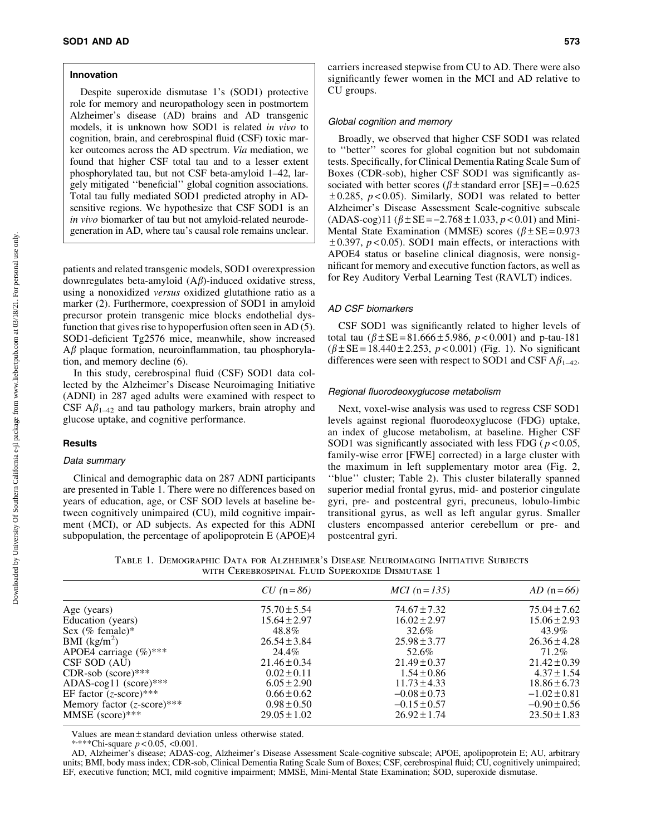## Innovation

Despite superoxide dismutase 1's (SOD1) protective role for memory and neuropathology seen in postmortem Alzheimer's disease (AD) brains and AD transgenic models, it is unknown how SOD1 is related *in vivo* to cognition, brain, and cerebrospinal fluid (CSF) toxic marker outcomes across the AD spectrum. *Via* mediation, we found that higher CSF total tau and to a lesser extent phosphorylated tau, but not CSF beta-amyloid 1–42, largely mitigated ''beneficial'' global cognition associations. Total tau fully mediated SOD1 predicted atrophy in ADsensitive regions. We hypothesize that CSF SOD1 is an *in vivo* biomarker of tau but not amyloid-related neurodegeneration in AD, where tau's causal role remains unclear.

patients and related transgenic models, SOD1 overexpression downregulates beta-amyloid  $(A\beta)$ -induced oxidative stress, using a nonoxidized *versus* oxidized glutathione ratio as a marker (2). Furthermore, coexpression of SOD1 in amyloid precursor protein transgenic mice blocks endothelial dysfunction that gives rise to hypoperfusion often seen in AD (5). SOD1-deficient Tg2576 mice, meanwhile, show increased  $A\beta$  plaque formation, neuroinflammation, tau phosphorylation, and memory decline (6).

In this study, cerebrospinal fluid (CSF) SOD1 data collected by the Alzheimer's Disease Neuroimaging Initiative (ADNI) in 287 aged adults were examined with respect to CSF  $A\beta_{1-42}$  and tau pathology markers, brain atrophy and glucose uptake, and cognitive performance.

# **Results**

## Data summary

Clinical and demographic data on 287 ADNI participants are presented in Table 1. There were no differences based on years of education, age, or CSF SOD levels at baseline between cognitively unimpaired (CU), mild cognitive impairment (MCI), or AD subjects. As expected for this ADNI subpopulation, the percentage of apolipoprotein E (APOE)4

carriers increased stepwise from CU to AD. There were also significantly fewer women in the MCI and AD relative to CU groups.

## Global cognition and memory

Broadly, we observed that higher CSF SOD1 was related to ''better'' scores for global cognition but not subdomain tests. Specifically, for Clinical Dementia Rating Scale Sum of Boxes (CDR-sob), higher CSF SOD1 was significantly associated with better scores ( $\beta$  ± standard error [SE] = -0.625  $\pm$  0.285,  $p$  < 0.05). Similarly, SOD1 was related to better Alzheimer's Disease Assessment Scale-cognitive subscale  $(ADAS-cog)11 (\beta \pm SE = -2.768 \pm 1.033, p < 0.01)$  and Mini-Mental State Examination (MMSE) scores ( $\beta \pm$ SE=0.973  $\pm 0.397$ ,  $p < 0.05$ ). SOD1 main effects, or interactions with APOE4 status or baseline clinical diagnosis, were nonsignificant for memory and executive function factors, as well as for Rey Auditory Verbal Learning Test (RAVLT) indices.

## AD CSF biomarkers

CSF SOD1 was significantly related to higher levels of total tau  $(\beta \pm SE = 81.666 \pm 5.986, p < 0.001)$  and p-tau-181  $(\beta \pm SE = 18.440 \pm 2.253, p < 0.001)$  (Fig. 1). No significant differences were seen with respect to SOD1 and CSF  $A\beta_{1-42}$ .

#### Regional fluorodeoxyglucose metabolism

Next, voxel-wise analysis was used to regress CSF SOD1 levels against regional fluorodeoxyglucose (FDG) uptake, an index of glucose metabolism, at baseline. Higher CSF SOD1 was significantly associated with less FDG ( $p < 0.05$ , family-wise error [FWE] corrected) in a large cluster with the maximum in left supplementary motor area (Fig. 2, ''blue'' cluster; Table 2). This cluster bilaterally spanned superior medial frontal gyrus, mid- and posterior cingulate gyri, pre- and postcentral gyri, precuneus, lobulo-limbic transitional gyrus, as well as left angular gyrus. Smaller clusters encompassed anterior cerebellum or pre- and postcentral gyri.

Table 1. Demographic Data for Alzheimer's Disease Neuroimaging Initiative Subjects with Cerebrospinal Fluid Superoxide Dismutase 1

|                                      | $CU (n = 86)$    | $MCI$ (n = 135)  | $AD (n=66)$      |
|--------------------------------------|------------------|------------------|------------------|
| Age (years)                          | $75.70 \pm 5.54$ | $74.67 \pm 7.32$ | $75.04 \pm 7.62$ |
| Education (years)                    | $15.64 \pm 2.97$ | $16.02 \pm 2.97$ | $15.06 \pm 2.93$ |
| Sex (% female)*                      | 48.8%            | 32.6%            | 43.9%            |
| BMI $(kg/m^2)$                       | $26.54 \pm 3.84$ | $25.98 \pm 3.77$ | $26.36 \pm 4.28$ |
| APOE4 carriage $(\%)$ ***            | 24.4%            | 52.6%            | 71.2%            |
| CSF SOD (AU)                         | $21.46 \pm 0.34$ | $21.49 \pm 0.37$ | $21.42 \pm 0.39$ |
| $CDR$ -sob (score)***                | $0.02 \pm 0.11$  | $1.54 \pm 0.86$  | $4.37 \pm 1.54$  |
| ADAS-cog11 (score)***                | $6.05 \pm 2.90$  | $11.73 \pm 4.33$ | $18.86 \pm 6.73$ |
| EF factor $(z\text{-score})$ ***     | $0.66 \pm 0.62$  | $-0.08 \pm 0.73$ | $-1.02 \pm 0.81$ |
| Memory factor $(z\text{-score})$ *** | $0.98 \pm 0.50$  | $-0.15 \pm 0.57$ | $-0.90 \pm 0.56$ |
| $MMSE$ (score)***                    | $29.05 \pm 1.02$ | $26.92 \pm 1.74$ | $23.50 \pm 1.83$ |
|                                      |                  |                  |                  |

Values are mean  $\pm$  standard deviation unless otherwise stated.

\*, \*\*\*Chi-square *p* < 0.05, <0.001.

AD, Alzheimer's disease; ADAS-cog, Alzheimer's Disease Assessment Scale-cognitive subscale; APOE, apolipoprotein E; AU, arbitrary units; BMI, body mass index; CDR-sob, Clinical Dementia Rating Scale Sum of Boxes; CSF, cerebrospinal fluid; CU, cognitively unimpaired; EF, executive function; MCI, mild cognitive impairment; MMSE, Mini-Mental State Examination; SOD, superoxide dismutase.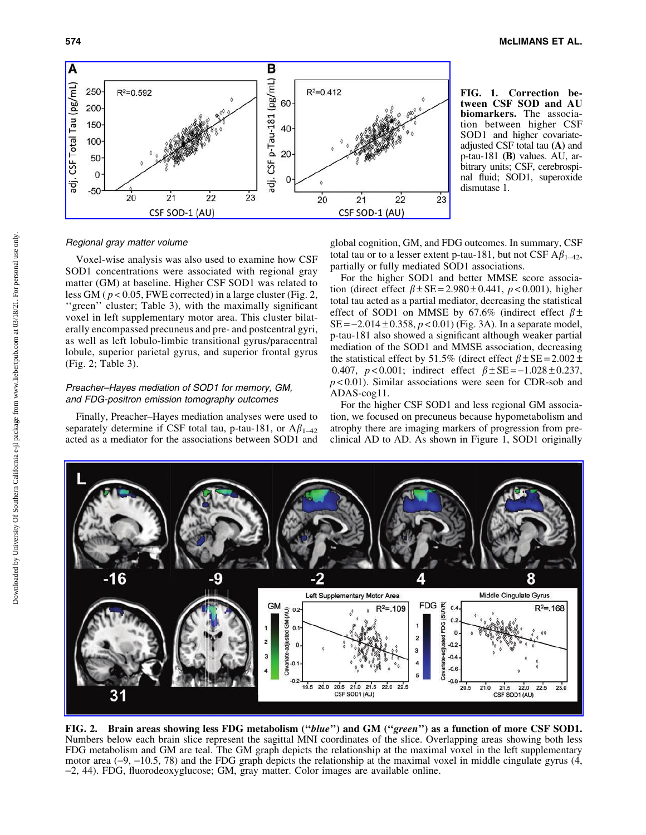

FIG. 1. Correction between CSF SOD and AU biomarkers. The association between higher CSF SOD1 and higher covariateadjusted CSF total tau (A) and p-tau-181 (B) values. AU, arbitrary units; CSF, cerebrospinal fluid; SOD1, superoxide dismutase 1.

## Regional gray matter volume

Voxel-wise analysis was also used to examine how CSF SOD1 concentrations were associated with regional gray matter (GM) at baseline. Higher CSF SOD1 was related to less GM ( *p* < 0.05, FWE corrected) in a large cluster (Fig. 2, "green" cluster; Table 3), with the maximally significant voxel in left supplementary motor area. This cluster bilaterally encompassed precuneus and pre- and postcentral gyri, as well as left lobulo-limbic transitional gyrus/paracentral lobule, superior parietal gyrus, and superior frontal gyrus (Fig. 2; Table 3).

## Preacher–Hayes mediation of SOD1 for memory, GM, and FDG-positron emission tomography outcomes

Finally, Preacher–Hayes mediation analyses were used to separately determine if CSF total tau, p-tau-181, or  $A\beta_{1-42}$ acted as a mediator for the associations between SOD1 and

global cognition, GM, and FDG outcomes. In summary, CSF total tau or to a lesser extent p-tau-181, but not CSF  $A\beta_{1-42}$ , partially or fully mediated SOD1 associations.

For the higher SOD1 and better MMSE score association (direct effect  $\beta \pm SE = 2.980 \pm 0.441$ ,  $p < 0.001$ ), higher total tau acted as a partial mediator, decreasing the statistical effect of SOD1 on MMSE by 67.6% (indirect effect  $\beta \pm$  $SE = -2.014 \pm 0.358$ ,  $p < 0.01$ ) (Fig. 3A). In a separate model, p-tau-181 also showed a significant although weaker partial mediation of the SOD1 and MMSE association, decreasing the statistical effect by 51.5% (direct effect  $\beta \pm SE = 2.002 \pm$ 0.407,  $p < 0.001$ ; indirect effect  $\beta \pm SE = -1.028 \pm 0.237$ , *p* < 0.01). Similar associations were seen for CDR-sob and ADAS-cog11.

For the higher CSF SOD1 and less regional GM association, we focused on precuneus because hypometabolism and atrophy there are imaging markers of progression from preclinical AD to AD. As shown in Figure 1, SOD1 originally



FIG. 2. Brain areas showing less FDG metabolism (''blue'') and GM (''green'') as a function of more CSF SOD1. Numbers below each brain slice represent the sagittal MNI coordinates of the slice. Overlapping areas showing both less FDG metabolism and GM are teal. The GM graph depicts the relationship at the maximal voxel in the left supplementary motor area  $(-9, -10.5, 78)$  and the FDG graph depicts the relationship at the maximal voxel in middle cingulate gyrus  $(4, 10)$ -2, 44). FDG, fluorodeoxyglucose; GM, gray matter. Color images are available online.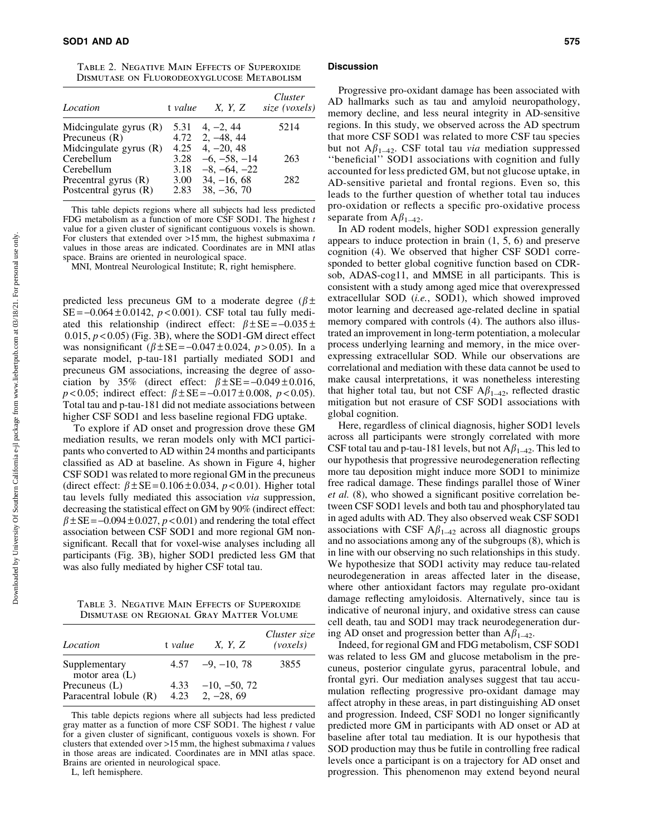Table 2. Negative Main Effects of Superoxide Dismutase on Fluorodeoxyglucose Metabolism

| Location                 | t value | <i>X</i> , <i>Y</i> , <i>Z</i> | Cluster<br>size (voxels) |
|--------------------------|---------|--------------------------------|--------------------------|
| Midcingulate gyrus $(R)$ | 5.31    | $4, -2, 44$                    | 5214                     |
| Precuneus $(R)$          | 4.72    | $2, -48, 44$                   |                          |
| Midcingulate gyrus (R)   | 4.25    | $4, -20, 48$                   |                          |
| Cerebellum               | 3.28    | $-6, -58, -14$                 | 263                      |
| Cerebellum               | 3.18    | $-8, -64, -22$                 |                          |
| Precentral gyrus $(R)$   | 3.00    | $34, -16, 68$                  | 282                      |
| Postcentral gyrus $(R)$  | 2.83    | $38, -36, 70$                  |                          |

This table depicts regions where all subjects had less predicted FDG metabolism as a function of more CSF SOD1. The highest *t* value for a given cluster of significant contiguous voxels is shown. For clusters that extended over >15 mm, the highest submaxima *t* values in those areas are indicated. Coordinates are in MNI atlas space. Brains are oriented in neurological space.

MNI, Montreal Neurological Institute; R, right hemisphere.

predicted less precuneus GM to a moderate degree ( $\beta$  ±  $SE = -0.064 \pm 0.0142$ ,  $p < 0.001$ ). CSF total tau fully mediated this relationship (indirect effect:  $\beta \pm SE = -0.035 \pm$  $0.015$ ,  $p < 0.05$ ) (Fig. 3B), where the SOD1-GM direct effect was nonsignificant  $(\beta \pm SE = -0.047 \pm 0.024, p > 0.05)$ . In a separate model, p-tau-181 partially mediated SOD1 and precuneus GM associations, increasing the degree of association by 35% (direct effect:  $\beta \pm SE = -0.049 \pm 0.016$ ,  $p < 0.05$ ; indirect effect:  $\beta \pm SE = -0.017 \pm 0.008$ ,  $p < 0.05$ ). Total tau and p-tau-181 did not mediate associations between higher CSF SOD1 and less baseline regional FDG uptake.

To explore if AD onset and progression drove these GM mediation results, we reran models only with MCI participants who converted to AD within 24 months and participants classified as AD at baseline. As shown in Figure 4, higher CSF SOD1 was related to more regional GM in the precuneus (direct effect:  $\beta \pm SE = 0.106 \pm 0.034$ ,  $p < 0.01$ ). Higher total tau levels fully mediated this association *via* suppression, decreasing the statistical effect on GM by 90% (indirect effect:  $\beta \pm SE = -0.094 \pm 0.027$ ,  $p < 0.01$ ) and rendering the total effect association between CSF SOD1 and more regional GM nonsignificant. Recall that for voxel-wise analyses including all participants (Fig. 3B), higher SOD1 predicted less GM that was also fully mediated by higher CSF total tau.

Table 3. Negative Main Effects of Superoxide Dismutase on Regional Gray Matter Volume

| Location                                  | t value | X, Y, Z                             | Cluster size<br>(voxels) |
|-------------------------------------------|---------|-------------------------------------|--------------------------|
| Supplementary<br>motor area $(L)$         |         | $4.57 -9, -10, 78$                  | 3855                     |
| Precuneus $(L)$<br>Paracentral lobule (R) |         | $-10, -50, 72$<br>4.23 2, $-28, 69$ |                          |

This table depicts regions where all subjects had less predicted gray matter as a function of more CSF SOD1. The highest *t* value for a given cluster of significant, contiguous voxels is shown. For clusters that extended over >15 mm, the highest submaxima *t* values in those areas are indicated. Coordinates are in MNI atlas space. Brains are oriented in neurological space.

L, left hemisphere.

#### **Discussion**

Progressive pro-oxidant damage has been associated with AD hallmarks such as tau and amyloid neuropathology, memory decline, and less neural integrity in AD-sensitive regions. In this study, we observed across the AD spectrum that more CSF SOD1 was related to more CSF tau species but not  $A\beta_{1-42}$ . CSF total tau *via* mediation suppressed ''beneficial'' SOD1 associations with cognition and fully accounted for less predicted GM, but not glucose uptake, in AD-sensitive parietal and frontal regions. Even so, this leads to the further question of whether total tau induces pro-oxidation or reflects a specific pro-oxidative process separate from  $A\beta_{1-42}$ .

In AD rodent models, higher SOD1 expression generally appears to induce protection in brain (1, 5, 6) and preserve cognition (4). We observed that higher CSF SOD1 corresponded to better global cognitive function based on CDRsob, ADAS-cog11, and MMSE in all participants. This is consistent with a study among aged mice that overexpressed extracellular SOD (*i.e.*, SOD1), which showed improved motor learning and decreased age-related decline in spatial memory compared with controls (4). The authors also illustrated an improvement in long-term potentiation, a molecular process underlying learning and memory, in the mice overexpressing extracellular SOD. While our observations are correlational and mediation with these data cannot be used to make causal interpretations, it was nonetheless interesting that higher total tau, but not CSF  $A\beta_{1-42}$ , reflected drastic mitigation but not erasure of CSF SOD1 associations with global cognition.

Here, regardless of clinical diagnosis, higher SOD1 levels across all participants were strongly correlated with more CSF total tau and p-tau-181 levels, but not  $A\beta_{1-42}$ . This led to our hypothesis that progressive neurodegeneration reflecting more tau deposition might induce more SOD1 to minimize free radical damage. These findings parallel those of Winer *et al.* (8), who showed a significant positive correlation between CSF SOD1 levels and both tau and phosphorylated tau in aged adults with AD. They also observed weak CSF SOD1 associations with CSF  $A\beta_{1-42}$  across all diagnostic groups and no associations among any of the subgroups (8), which is in line with our observing no such relationships in this study. We hypothesize that SOD1 activity may reduce tau-related neurodegeneration in areas affected later in the disease, where other antioxidant factors may regulate pro-oxidant damage reflecting amyloidosis. Alternatively, since tau is indicative of neuronal injury, and oxidative stress can cause cell death, tau and SOD1 may track neurodegeneration during AD onset and progression better than  $A\beta_{1-42}$ .

Indeed, for regional GM and FDG metabolism, CSF SOD1 was related to less GM and glucose metabolism in the precuneus, posterior cingulate gyrus, paracentral lobule, and frontal gyri. Our mediation analyses suggest that tau accumulation reflecting progressive pro-oxidant damage may affect atrophy in these areas, in part distinguishing AD onset and progression. Indeed, CSF SOD1 no longer significantly predicted more GM in participants with AD onset or AD at baseline after total tau mediation. It is our hypothesis that SOD production may thus be futile in controlling free radical levels once a participant is on a trajectory for AD onset and progression. This phenomenon may extend beyond neural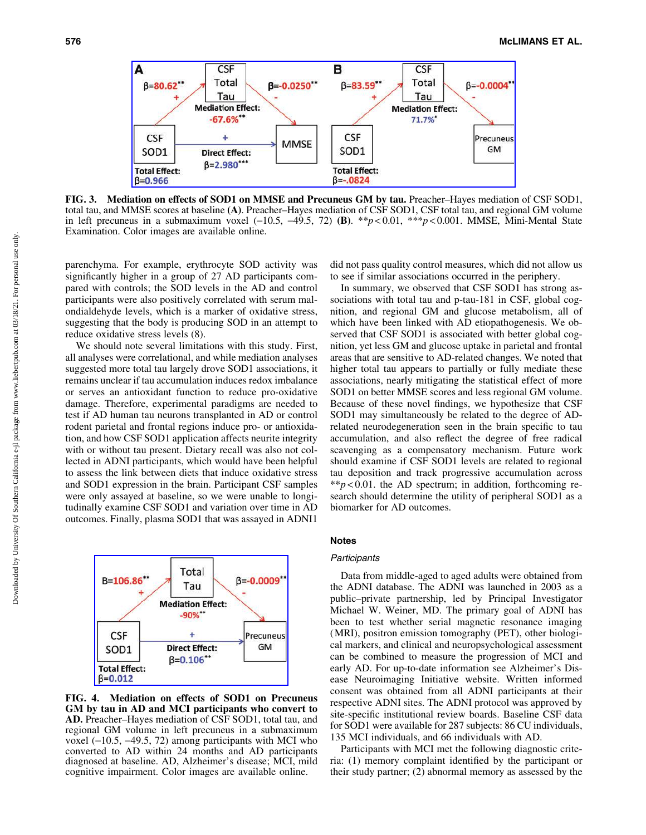

FIG. 3. Mediation on effects of SOD1 on MMSE and Precuneus GM by tau. Preacher–Hayes mediation of CSF SOD1, total tau, and MMSE scores at baseline (A). Preacher–Hayes mediation of CSF SOD1, CSF total tau, and regional GM volume in left precuneus in a submaximum voxel  $(-10.5, -49.5, 72)$  (B). \*\**p* < 0.01, \*\*\**p* < 0.001. MMSE, Mini-Mental State Examination. Color images are available online.

parenchyma. For example, erythrocyte SOD activity was significantly higher in a group of 27 AD participants compared with controls; the SOD levels in the AD and control participants were also positively correlated with serum malondialdehyde levels, which is a marker of oxidative stress, suggesting that the body is producing SOD in an attempt to reduce oxidative stress levels (8).

We should note several limitations with this study. First, all analyses were correlational, and while mediation analyses suggested more total tau largely drove SOD1 associations, it remains unclear if tau accumulation induces redox imbalance or serves an antioxidant function to reduce pro-oxidative damage. Therefore, experimental paradigms are needed to test if AD human tau neurons transplanted in AD or control rodent parietal and frontal regions induce pro- or antioxidation, and how CSF SOD1 application affects neurite integrity with or without tau present. Dietary recall was also not collected in ADNI participants, which would have been helpful to assess the link between diets that induce oxidative stress and SOD1 expression in the brain. Participant CSF samples were only assayed at baseline, so we were unable to longitudinally examine CSF SOD1 and variation over time in AD outcomes. Finally, plasma SOD1 that was assayed in ADNI1



FIG. 4. Mediation on effects of SOD1 on Precuneus GM by tau in AD and MCI participants who convert to AD. Preacher–Hayes mediation of CSF SOD1, total tau, and regional GM volume in left precuneus in a submaximum voxel  $(-10.5, -49.5, 72)$  among participants with MCI who converted to AD within 24 months and AD participants diagnosed at baseline. AD, Alzheimer's disease; MCI, mild cognitive impairment. Color images are available online.

did not pass quality control measures, which did not allow us to see if similar associations occurred in the periphery.

In summary, we observed that CSF SOD1 has strong associations with total tau and p-tau-181 in CSF, global cognition, and regional GM and glucose metabolism, all of which have been linked with AD etiopathogenesis. We observed that CSF SOD1 is associated with better global cognition, yet less GM and glucose uptake in parietal and frontal areas that are sensitive to AD-related changes. We noted that higher total tau appears to partially or fully mediate these associations, nearly mitigating the statistical effect of more SOD1 on better MMSE scores and less regional GM volume. Because of these novel findings, we hypothesize that CSF SOD1 may simultaneously be related to the degree of ADrelated neurodegeneration seen in the brain specific to tau accumulation, and also reflect the degree of free radical scavenging as a compensatory mechanism. Future work should examine if CSF SOD1 levels are related to regional tau deposition and track progressive accumulation across  $*p < 0.01$ . the AD spectrum; in addition, forthcoming research should determine the utility of peripheral SOD1 as a biomarker for AD outcomes.

# Notes

#### **Participants**

Data from middle-aged to aged adults were obtained from the ADNI database. The ADNI was launched in 2003 as a public–private partnership, led by Principal Investigator Michael W. Weiner, MD. The primary goal of ADNI has been to test whether serial magnetic resonance imaging (MRI), positron emission tomography (PET), other biological markers, and clinical and neuropsychological assessment can be combined to measure the progression of MCI and early AD. For up-to-date information see Alzheimer's Disease Neuroimaging Initiative website. Written informed consent was obtained from all ADNI participants at their respective ADNI sites. The ADNI protocol was approved by site-specific institutional review boards. Baseline CSF data for SOD1 were available for 287 subjects: 86 CU individuals, 135 MCI individuals, and 66 individuals with AD.

Participants with MCI met the following diagnostic criteria: (1) memory complaint identified by the participant or their study partner; (2) abnormal memory as assessed by the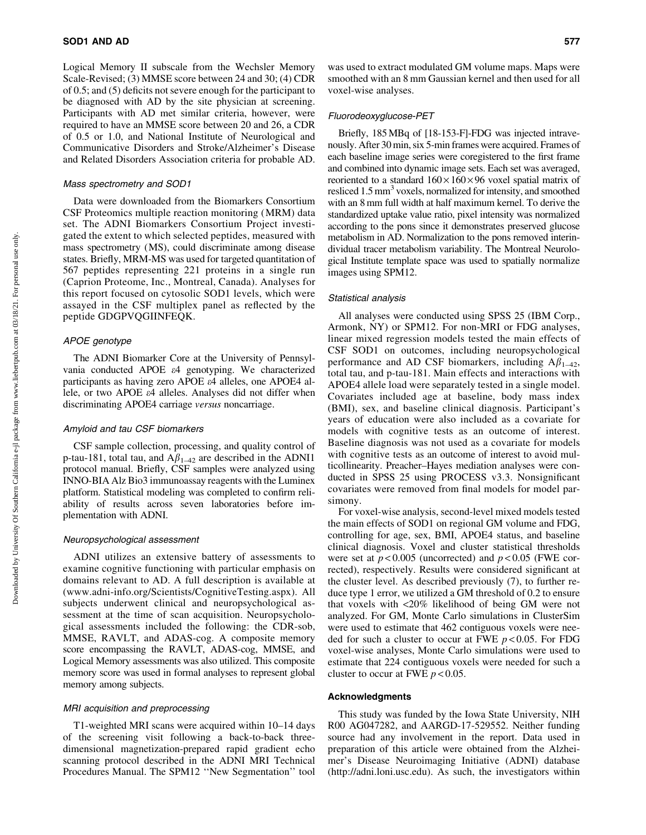Logical Memory II subscale from the Wechsler Memory Scale-Revised; (3) MMSE score between 24 and 30; (4) CDR of 0.5; and (5) deficits not severe enough for the participant to be diagnosed with AD by the site physician at screening. Participants with AD met similar criteria, however, were required to have an MMSE score between 20 and 26, a CDR of 0.5 or 1.0, and National Institute of Neurological and Communicative Disorders and Stroke/Alzheimer's Disease and Related Disorders Association criteria for probable AD.

## Mass spectrometry and SOD1

Data were downloaded from the Biomarkers Consortium CSF Proteomics multiple reaction monitoring (MRM) data set. The ADNI Biomarkers Consortium Project investigated the extent to which selected peptides, measured with mass spectrometry (MS), could discriminate among disease states. Briefly, MRM-MS was used for targeted quantitation of 567 peptides representing 221 proteins in a single run (Caprion Proteome, Inc., Montreal, Canada). Analyses for this report focused on cytosolic SOD1 levels, which were assayed in the CSF multiplex panel as reflected by the peptide GDGPVQGIINFEQK.

## APOE genotype

The ADNI Biomarker Core at the University of Pennsylvania conducted APOE e4 genotyping. We characterized participants as having zero APOE e4 alleles, one APOE4 allele, or two APOE e4 alleles. Analyses did not differ when discriminating APOE4 carriage *versus* noncarriage.

## Amyloid and tau CSF biomarkers

CSF sample collection, processing, and quality control of p-tau-181, total tau, and  $A\beta_{1-42}$  are described in the ADNI1 protocol manual. Briefly, CSF samples were analyzed using INNO-BIA Alz Bio3 immunoassay reagents with the Luminex platform. Statistical modeling was completed to confirm reliability of results across seven laboratories before implementation with ADNI.

## Neuropsychological assessment

ADNI utilizes an extensive battery of assessments to examine cognitive functioning with particular emphasis on domains relevant to AD. A full description is available at [\(www.adni-info.org/Scientists/CognitiveTesting.aspx](http://www.adni-info.org/Scientists/CognitiveTesting.aspx)). All subjects underwent clinical and neuropsychological assessment at the time of scan acquisition. Neuropsychological assessments included the following: the CDR-sob, MMSE, RAVLT, and ADAS-cog. A composite memory score encompassing the RAVLT, ADAS-cog, MMSE, and Logical Memory assessments was also utilized. This composite memory score was used in formal analyses to represent global memory among subjects.

## MRI acquisition and preprocessing

T1-weighted MRI scans were acquired within 10–14 days of the screening visit following a back-to-back threedimensional magnetization-prepared rapid gradient echo scanning protocol described in the ADNI MRI Technical Procedures Manual. The SPM12 ''New Segmentation'' tool

was used to extract modulated GM volume maps. Maps were smoothed with an 8 mm Gaussian kernel and then used for all voxel-wise analyses.

## Fluorodeoxyglucose-PET

Briefly, 185 MBq of [18-153-F]-FDG was injected intravenously. After 30 min, six 5-min frames were acquired. Frames of each baseline image series were coregistered to the first frame and combined into dynamic image sets. Each set was averaged, reoriented to a standard  $160 \times 160 \times 96$  voxel spatial matrix of resliced 1.5 mm<sup>3</sup> voxels, normalized for intensity, and smoothed with an 8 mm full width at half maximum kernel. To derive the standardized uptake value ratio, pixel intensity was normalized according to the pons since it demonstrates preserved glucose metabolism in AD. Normalization to the pons removed interindividual tracer metabolism variability. The Montreal Neurological Institute template space was used to spatially normalize images using SPM12.

#### Statistical analysis

All analyses were conducted using SPSS 25 (IBM Corp., Armonk, NY) or SPM12. For non-MRI or FDG analyses, linear mixed regression models tested the main effects of CSF SOD1 on outcomes, including neuropsychological performance and AD CSF biomarkers, including  $A\beta_{1-42}$ , total tau, and p-tau-181. Main effects and interactions with APOE4 allele load were separately tested in a single model. Covariates included age at baseline, body mass index (BMI), sex, and baseline clinical diagnosis. Participant's years of education were also included as a covariate for models with cognitive tests as an outcome of interest. Baseline diagnosis was not used as a covariate for models with cognitive tests as an outcome of interest to avoid multicollinearity. Preacher–Hayes mediation analyses were conducted in SPSS 25 using PROCESS v3.3. Nonsignificant covariates were removed from final models for model parsimony.

For voxel-wise analysis, second-level mixed models tested the main effects of SOD1 on regional GM volume and FDG, controlling for age, sex, BMI, APOE4 status, and baseline clinical diagnosis. Voxel and cluster statistical thresholds were set at  $p < 0.005$  (uncorrected) and  $p < 0.05$  (FWE corrected), respectively. Results were considered significant at the cluster level. As described previously (7), to further reduce type 1 error, we utilized a GM threshold of 0.2 to ensure that voxels with <20% likelihood of being GM were not analyzed. For GM, Monte Carlo simulations in ClusterSim were used to estimate that 462 contiguous voxels were needed for such a cluster to occur at FWE *p* < 0.05. For FDG voxel-wise analyses, Monte Carlo simulations were used to estimate that 224 contiguous voxels were needed for such a cluster to occur at FWE  $p < 0.05$ .

#### Acknowledgments

This study was funded by the Iowa State University, NIH R00 AG047282, and AARGD-17-529552. Neither funding source had any involvement in the report. Data used in preparation of this article were obtained from the Alzheimer's Disease Neuroimaging Initiative (ADNI) database [\(http://adni.loni.usc.edu\)](http://adni.loni.usc.edu). As such, the investigators within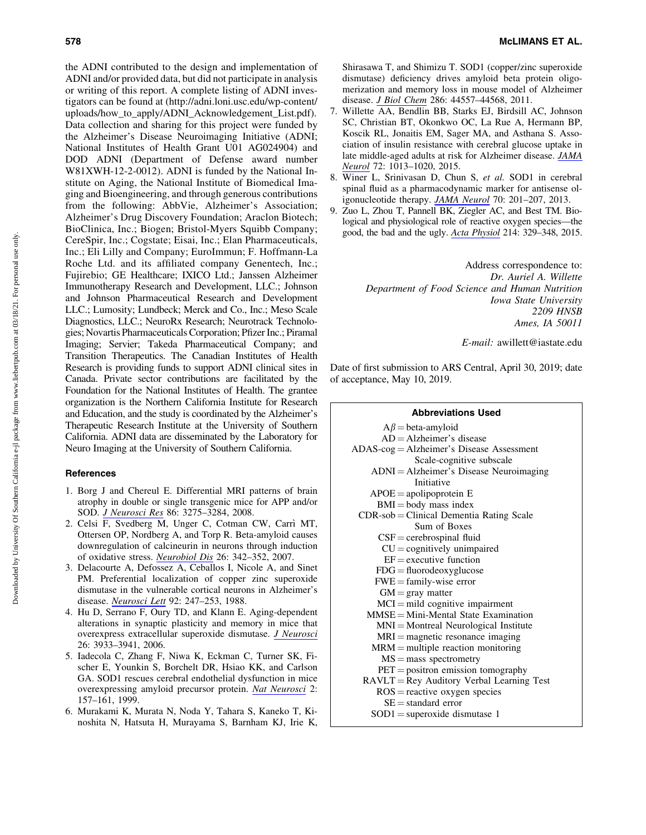the ADNI contributed to the design and implementation of ADNI and/or provided data, but did not participate in analysis or writing of this report. A complete listing of ADNI investigators can be found at [\(http://adni.loni.usc.edu/wp-content/](http://adni.loni.usc.edu/wp-content/uploads/how_to_apply/ADNI_Acknowledgement_List.pdf) [uploads/how\\_to\\_apply/ADNI\\_Acknowledgement\\_List.pdf\)](http://adni.loni.usc.edu/wp-content/uploads/how_to_apply/ADNI_Acknowledgement_List.pdf). Data collection and sharing for this project were funded by the Alzheimer's Disease Neuroimaging Initiative (ADNI; National Institutes of Health Grant U01 AG024904) and DOD ADNI (Department of Defense award number W81XWH-12-2-0012). ADNI is funded by the National Institute on Aging, the National Institute of Biomedical Imaging and Bioengineering, and through generous contributions from the following: AbbVie, Alzheimer's Association; Alzheimer's Drug Discovery Foundation; Araclon Biotech; BioClinica, Inc.; Biogen; Bristol-Myers Squibb Company; CereSpir, Inc.; Cogstate; Eisai, Inc.; Elan Pharmaceuticals, Inc.; Eli Lilly and Company; EuroImmun; F. Hoffmann-La Roche Ltd. and its affiliated company Genentech, Inc.; Fujirebio; GE Healthcare; IXICO Ltd.; Janssen Alzheimer Immunotherapy Research and Development, LLC.; Johnson and Johnson Pharmaceutical Research and Development LLC.; Lumosity; Lundbeck; Merck and Co., Inc.; Meso Scale Diagnostics, LLC.; NeuroRx Research; Neurotrack Technologies; Novartis Pharmaceuticals Corporation; Pfizer Inc.; Piramal Imaging; Servier; Takeda Pharmaceutical Company; and Transition Therapeutics. The Canadian Institutes of Health Research is providing funds to support ADNI clinical sites in Canada. Private sector contributions are facilitated by the Foundation for the National Institutes of Health. The grantee organization is the Northern California Institute for Research and Education, and the study is coordinated by the Alzheimer's Therapeutic Research Institute at the University of Southern California. ADNI data are disseminated by the Laboratory for Neuro Imaging at the University of Southern California.

# References

- 1. Borg J and Chereul E. Differential MRI patterns of brain atrophy in double or single transgenic mice for APP and/or SOD. *[J Neurosci Res](https://www.liebertpub.com/action/showLinks?pmid=18646206&crossref=10.1002%2Fjnr.21778&citationId=p_27)* 86: 3275–3284, 2008.
- 2. Celsi  $\overline{F}$ , Svedberg M, Unger C, Cotman CW, Carrì MT, Ottersen OP, Nordberg A, and Torp R. Beta-amyloid causes downregulation of calcineurin in neurons through induction of oxidative stress. *[Neurobiol Dis](https://www.liebertpub.com/action/showLinks?pmid=17344052&crossref=10.1016%2Fj.nbd.2006.12.022&citationId=p_28)* 26: 342–352, 2007.
- 3. Delacourte A, Defossez A, Ceballos I, Nicole A, and Sinet PM. Preferential localization of copper zinc superoxide dismutase in the vulnerable cortical neurons in Alzheimer's disease. *[Neurosci Lett](https://www.liebertpub.com/action/showLinks?pmid=3200483&crossref=10.1016%2F0304-3940%2888%2990597-6&citationId=p_29)* 92: 247–253, 1988.
- 4. Hu D, Serrano F, Oury TD, and Klann E. Aging-dependent alterations in synaptic plasticity and memory in mice that overexpress extracellular superoxide dismutase. *[J Neurosci](https://www.liebertpub.com/action/showLinks?pmid=16611809&crossref=10.1523%2FJNEUROSCI.5566-05.2006&citationId=p_30)* 26: 3933–3941, 2006.
- 5. Iadecola C, Zhang F, Niwa K, Eckman C, Turner SK, Fischer E, Younkin S, Borchelt DR, Hsiao KK, and Carlson GA. SOD1 rescues cerebral endothelial dysfunction in mice overexpressing amyloid precursor protein. *[Nat Neurosci](https://www.liebertpub.com/action/showLinks?pmid=10195200&crossref=10.1038%2F5715&citationId=p_31)* 2: 157–161, 1999.
- 6. Murakami K, Murata N, Noda Y, Tahara S, Kaneko T, Kinoshita N, Hatsuta H, Murayama S, Barnham KJ, Irie K,

Shirasawa T, and Shimizu T. SOD1 (copper/zinc superoxide dismutase) deficiency drives amyloid beta protein oligomerization and memory loss in mouse model of Alzheimer disease. *[J Biol Chem](https://www.liebertpub.com/action/showLinks?pmid=22072713&crossref=10.1074%2Fjbc.M111.279208&citationId=p_32)* 286: 44557–44568, 2011.

- 7. Willette AA, Bendlin BB, Starks EJ, Birdsill AC, Johnson SC, Christian BT, Okonkwo OC, La Rue A, Hermann BP, Koscik RL, Jonaitis EM, Sager MA, and Asthana S. Association of insulin resistance with cerebral glucose uptake in late middle-aged adults at risk for Alzheimer disease. *[JAMA](https://www.liebertpub.com/action/showLinks?pmid=26214150&crossref=10.1001%2Fjamaneurol.2015.0613&citationId=p_33) [Neurol](https://www.liebertpub.com/action/showLinks?pmid=26214150&crossref=10.1001%2Fjamaneurol.2015.0613&citationId=p_33)* 72: 1013–1020, 2015.
- 8. Winer L, Srinivasan D, Chun S, *et al.* SOD1 in cerebral spinal fluid as a pharmacodynamic marker for antisense oligonucleotide therapy. *[JAMA Neurol](https://www.liebertpub.com/action/showLinks?pmid=23147550&crossref=10.1001%2Fjamaneurol.2013.593&citationId=p_34)* 70: 201–207, 2013.
- 9. Zuo L, Zhou T, Pannell BK, Ziegler AC, and Best TM. Biological and physiological role of reactive oxygen species—the good, the bad and the ugly. *[Acta Physiol](https://www.liebertpub.com/action/showLinks?pmid=25912260&crossref=10.1111%2Fapha.12515&citationId=p_35)* 214: 329–348, 2015.

Address correspondence to: *Dr. Auriel A. Willette Department of Food Science and Human Nutrition Iowa State University 2209 HNSB Ames, IA 50011*

*E-mail:* awillett@iastate.edu

Date of first submission to ARS Central, April 30, 2019; date of acceptance, May 10, 2019.

#### Abbreviations Used

| $A\beta$ = beta-amyloid                     |
|---------------------------------------------|
| $AD =$ Alzheimer's disease                  |
| $ADAS-cog = Alzheimer's Disease Assessment$ |
| Scale-cognitive subscale                    |
| ADNI = Alzheimer's Disease Neuroimaging     |
| Initiative                                  |
| $APOE = apolipoprotein E$                   |
| $BMI = body$ mass index                     |
| $CDR$ -sob = Clinical Dementia Rating Scale |
| Sum of Boxes                                |
| $CSF =$ cerebrospinal fluid                 |
| $CU =$ cognitively unimpaired               |
| $EF =$ executive function                   |
| $FDG = \text{fluorodeoxyglucose}$           |
| $FWE = family-wise error$                   |
| $GM =$ gray matter                          |
| $MCI = mild cognitive impairment$           |
| $MMSE = Mini-Mental State Examination$      |
| $MNI = Montreal$ Neurological Institute     |
| $MRI = magnetic$ resonance imaging          |
| $MRM =$ multiple reaction monitoring        |
| $MS = mass$ spectrometry                    |
| $PET =$ positron emission tomography        |
| $RAVLT = Rey$ Auditory Verbal Learning Test |
| $ROS = reactive$ oxygen species             |
| $SE =$ standard error                       |
| $SOD1 =$ superoxide dismutase 1             |